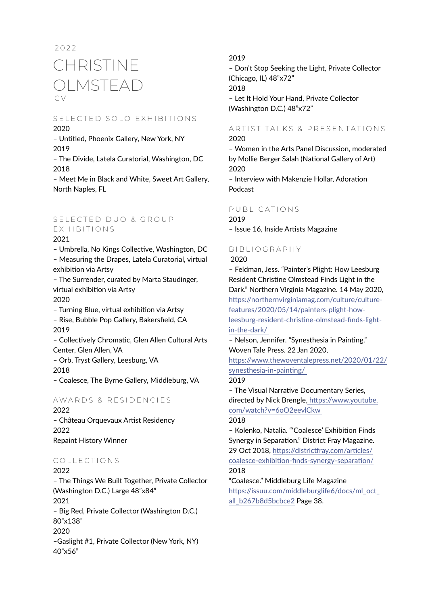# C V 2022 CHRISTINE OLMSTEAD

### S E LECTED SOLO EXHIBITIONS 2020

– Untitled, Phoenix Gallery, New York, NY 2019

– The Divide, Latela Curatorial, Washington, DC 2018

– Meet Me in Black and White, Sweet Art Gallery, North Naples, FL

# S F L E C T E D D U O & G R O U P EXHIBITIONS

### 2021

– Umbrella, No Kings Collective, Washington, DC – Measuring the Drapes, Latela Curatorial, virtual exhibition via Artsy

– The Surrender, curated by Marta Staudinger, virtual exhibition via Artsy 2020

– Turning Blue, virtual exhibition via Artsy

– Rise, Bubble Pop Gallery, Bakersfield, CA 2019

– Collectively Chromatic, Glen Allen Cultural Arts Center, Glen Allen, VA

– Orb, Tryst Gallery, Leesburg, VA 2018

– Coalesce, The Byrne Gallery, Middleburg, VA

# AWARDS & RESIDENCIES

2022 – Château Orquevaux Artist Residency 2022 Repaint History Winner

# COLLECTIONS

2022 – The Things We Built Together, Private Collector (Washington D.C.) Large 48"x84" 2021 – Big Red, Private Collector (Washington D.C.) 80"x138" 2020 –Gaslight #1, Private Collector (New York, NY) 40"x56"

### 2019

– Don't Stop Seeking the Light, Private Collector (Chicago, IL) 48"x72" 2018 – Let It Hold Your Hand, Private Collector (Washington D.C.) 48"x72"

### ARTIST TALKS & PRESENTATIONS 2020

– Women in the Arts Panel Discussion, moderated by Mollie Berger Salah (National Gallery of Art) 2020

– Interview with Makenzie Hollar, Adoration Podcast

### PUBLICATIONS

2019

– Issue 16, Inside Artists Magazine

# BIBLIOGRAPHY

2020

– Feldman, Jess. "Painter's Plight: How Leesburg Resident Christine Olmstead Finds Light in the Dark." Northern Virginia Magazine. 14 May 2020, [https://northernvirginiamag.com/culture/culture](https://northernvirginiamag.com/culture/culture-features/2020/05/14/painters-plight-how-leesburg-res)[features/2020/05/14/painters-plight-how](https://northernvirginiamag.com/culture/culture-features/2020/05/14/painters-plight-how-leesburg-res)[leesburg-resident-christine-olmstead-finds-light](https://northernvirginiamag.com/culture/culture-features/2020/05/14/painters-plight-how-leesburg-res)[in-the-dark/](https://northernvirginiamag.com/culture/culture-features/2020/05/14/painters-plight-how-leesburg-res) 

– Nelson, Jennifer. "Synesthesia in Painting." Woven Tale Press. 22 Jan 2020,

[https://www.thewoventalepress.net/2020/01/22/](https://www.thewoventalepress.net/2020/01/22/synesthesia-in-painting/ ) [synesthesia-in-painting/](https://www.thewoventalepress.net/2020/01/22/synesthesia-in-painting/ ) 

### 2019

– The Visual Narrative Documentary Series, directed by Nick Brengle, [https://www.youtube.]( https://www.youtube.com/watch?v=6oO2eevlCkw ) [com/watch?v=6oO2eevlCkw]( https://www.youtube.com/watch?v=6oO2eevlCkw ) 

### 2018

– Kolenko, Natalia. "'Coalesce' Exhibition Finds Synergy in Separation." District Fray Magazine. 29 Oct 2018, [https://districtfray.com/articles/](https://districtfray.com/articles/coalesce-exhibition-finds-synergy-separation/) [coalesce-exhibition-finds-synergy-separation/](https://districtfray.com/articles/coalesce-exhibition-finds-synergy-separation/) 2018

"Coalesce." Middleburg Life Magazine [https://issuu.com/middleburglife6/docs/ml\\_oct\\_](https://issuu.com/middleburglife6/docs/ml_oct_all_b267b8d5bcbce2) [all\\_b267b8d5bcbce2](https://issuu.com/middleburglife6/docs/ml_oct_all_b267b8d5bcbce2) Page 38.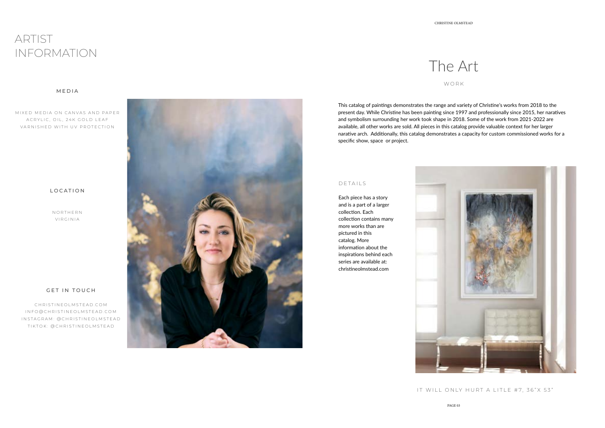

This catalog of paintings demonstrates the range and variety of Christine's works from 2018 to the present day. While Christine has been painting since 1997 and professionally since 2015, her naratives and symbolism surrounding her work took shape in 2018. Some of the work from 2021-2022 are available, all other works are sold. All pieces in this catalog provide valuable context for her larger narative arch. Additionally, this catalog demonstrates a capacity for custom commissioned works for a specific show, space or project.

The Art WORK

MIXED MEDIA ON CANVAS AND PAPER ACRYLIC, OIL, 24K GOLD LEAF VARNISHED WITH UV PROTECTION

> Each piece has a story and is a part of a larger collection. Each collection contains many more works than are pictured in this catalog. More information about the inspirations behind each series are available at: christineolmstead.com



### DETAILS

IT WILL ONLY HURT A LITLE #7, 36"X 53"

# ARTIST INFORMATION

NORTHERN VIRGINIA

CHRISTINEOLMSTEAD.COM INFO@CHRISTINEOLMSTEAD.COM INSTAGRAM: @CHRISTINEOLMSTEAD TIKTOK: @CHRISTINEOLMSTEAD



### MEDIA

### LOCATION

### GET IN TOUCH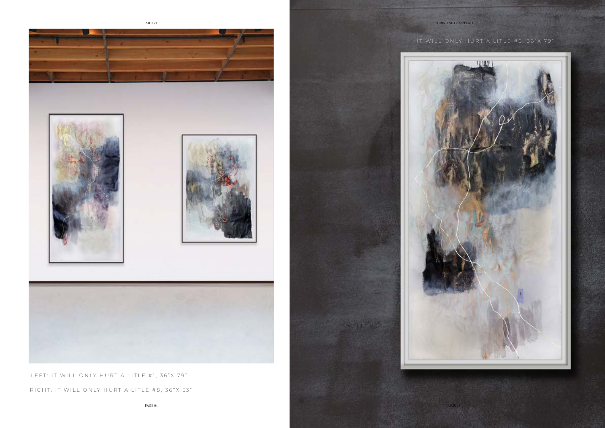PAGE 04



PAGE 05

# IT WILL ONLY HURT A LITLE #6, 36"X 79"







LEFT: IT WILL ONLY HURT A LITLE #1, 36"X 79" RIGHT: IT WILL ONLY HURT A LITLE #8, 36"X 53"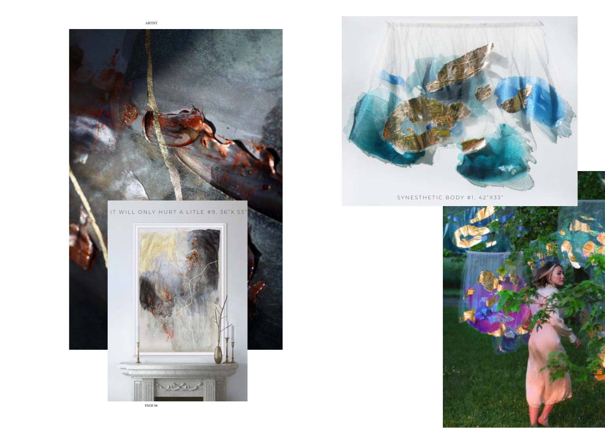PAGE 06





# SYNESTHETIC BODY #1, 42"X33"



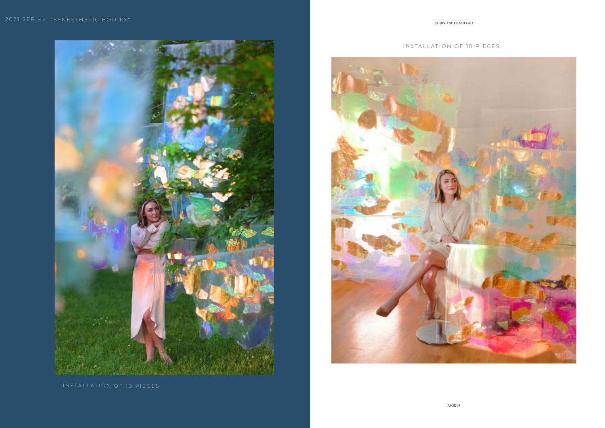## INSTALLATION OF 10 PIECES



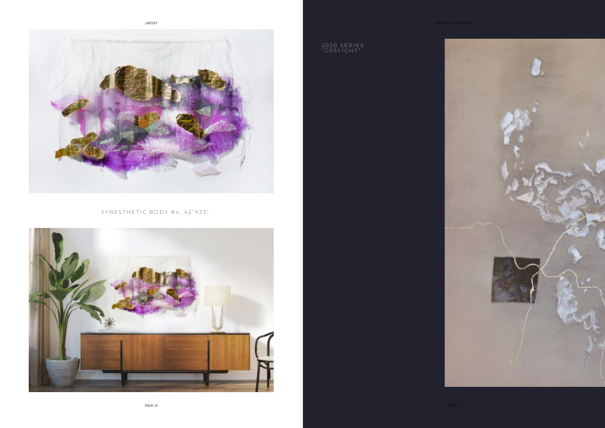



2020 SERIES: "GASLIGHT"

SYNESTHETIC BODY #4, 42"X33"

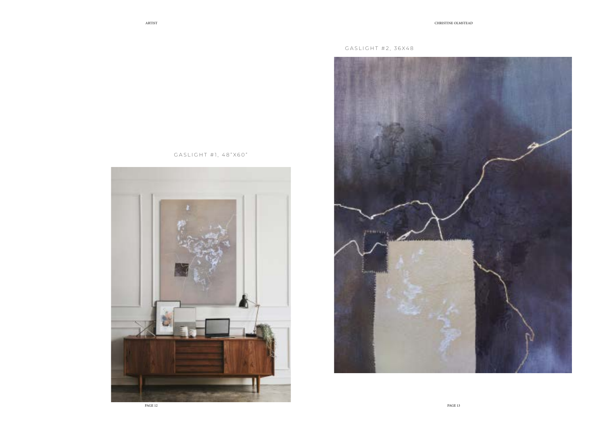

GASLIGHT #1, 48"X60"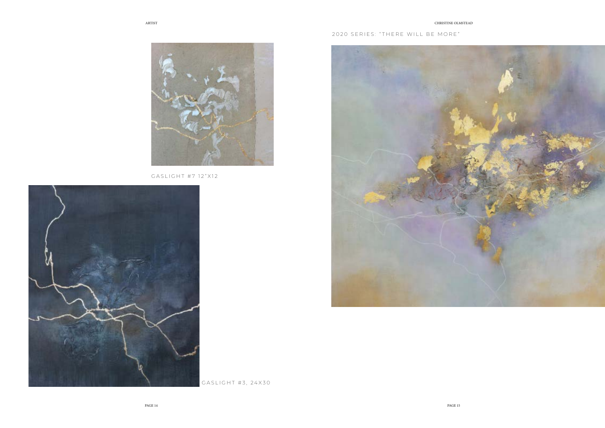# 2020 SERIES: "THERE WILL BE MORE"





GASLIGHT #7 12"X12



GASLIGHT #3, 24X30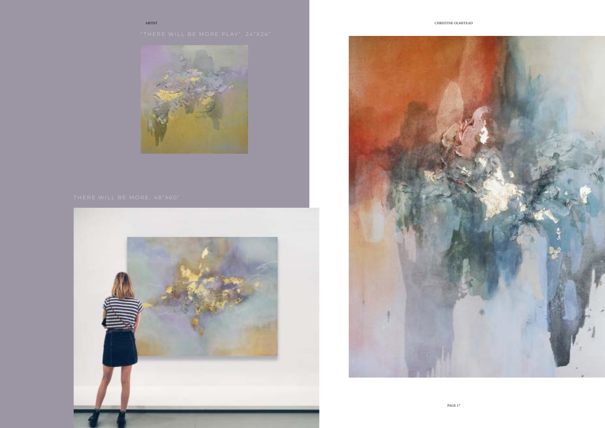



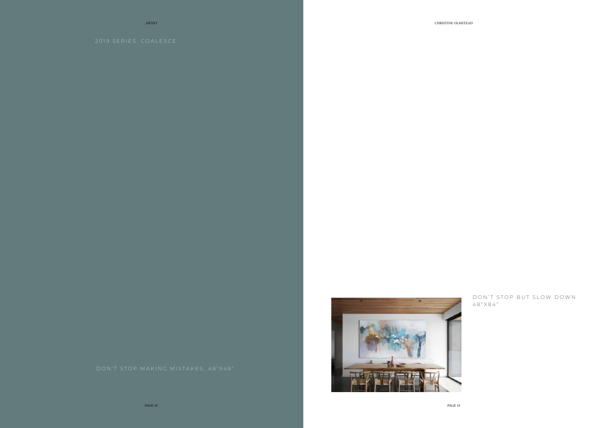ARTIST CHRISTINE OLMSTEAD



DON'T STOP BUT SLOW DOWN 48"X84"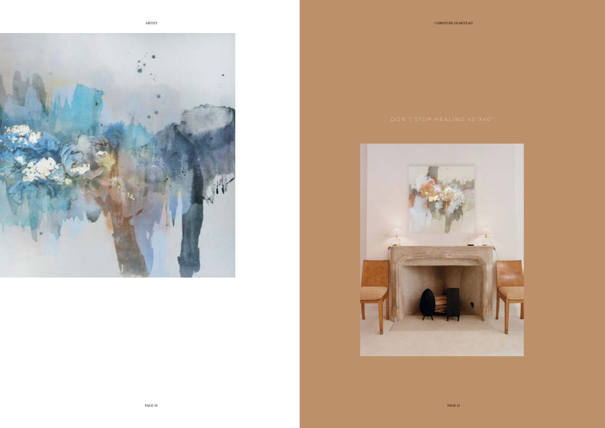



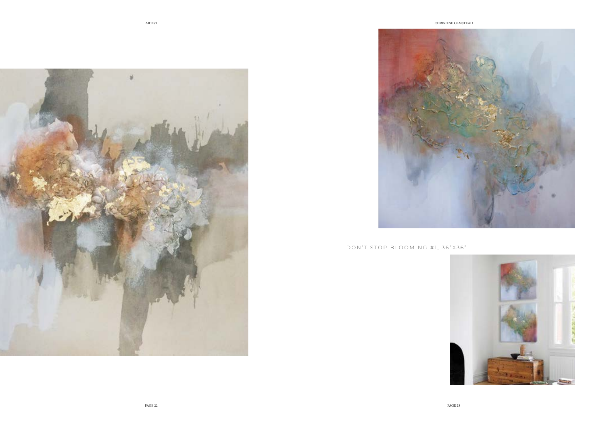



# DON'T STOP BLOOMING #1, 36"X36"

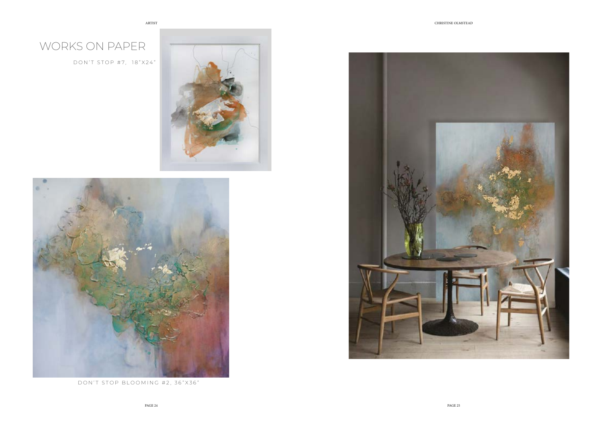DON'T STOP BLOOMING #2, 36"X36"



# WORKS ON PAPER

DON'T STOP #7, 18"X24"



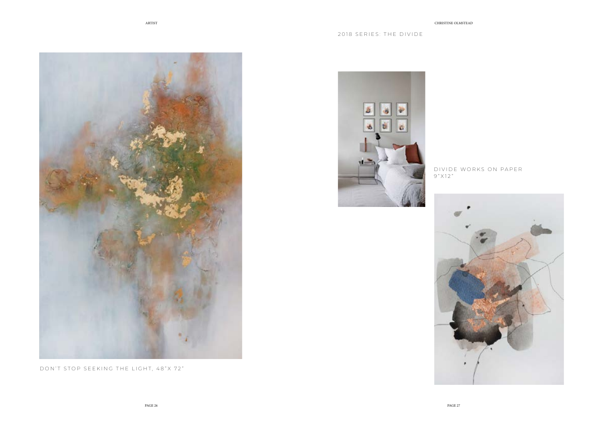# D IVIDE WORKS ON PAPER



9 " X 1 2 "





DON'T STOP SEEKING THE LIGHT, 48"X 72"

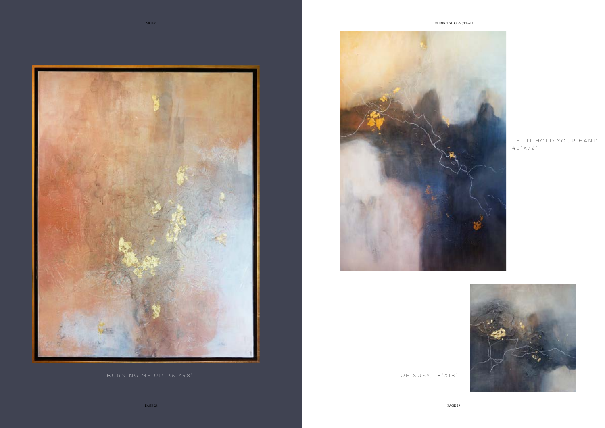PAGE 29

## LET IT HOLD YOUR HAND, 4 8 " X 7 2 "







PAGE 28